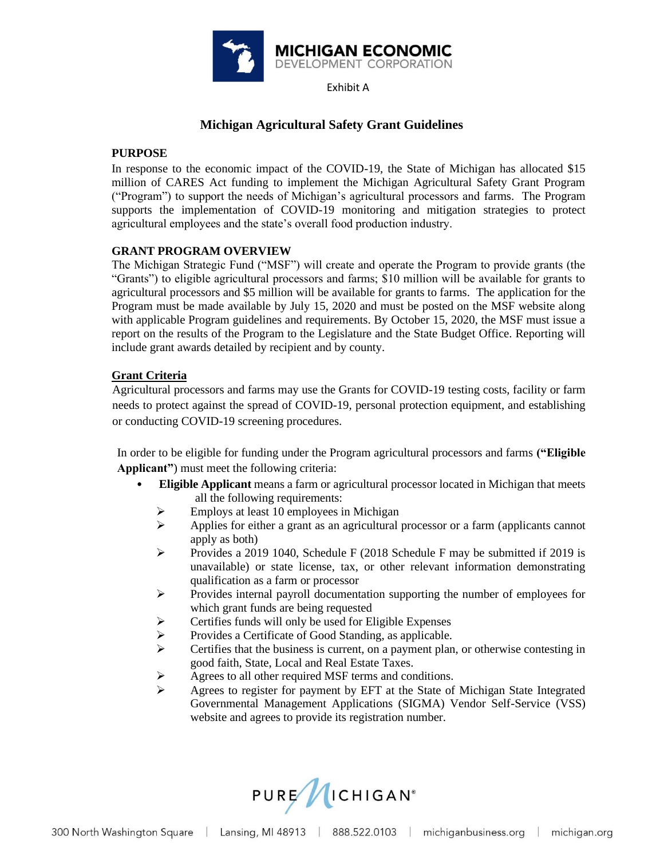

Exhibit A

# **Michigan Agricultural Safety Grant Guidelines**

### **PURPOSE**

In response to the economic impact of the COVID-19, the State of Michigan has allocated \$15 million of CARES Act funding to implement the Michigan Agricultural Safety Grant Program ("Program") to support the needs of Michigan's agricultural processors and farms. The Program supports the implementation of COVID-19 monitoring and mitigation strategies to protect agricultural employees and the state's overall food production industry.

### **GRANT PROGRAM OVERVIEW**

The Michigan Strategic Fund ("MSF") will create and operate the Program to provide grants (the "Grants") to eligible agricultural processors and farms; \$10 million will be available for grants to agricultural processors and \$5 million will be available for grants to farms. The application for the Program must be made available by July 15, 2020 and must be posted on the MSF website along with applicable Program guidelines and requirements. By October 15, 2020, the MSF must issue a report on the results of the Program to the Legislature and the State Budget Office. Reporting will include grant awards detailed by recipient and by county.

## **Grant Criteria**

Agricultural processors and farms may use the Grants for COVID-19 testing costs, facility or farm needs to protect against the spread of COVID-19, personal protection equipment, and establishing or conducting COVID-19 screening procedures.

In order to be eligible for funding under the Program agricultural processors and farms **("Eligible Applicant"**) must meet the following criteria:

- **Eligible Applicant** means a farm or agricultural processor located in Michigan that meets all the following requirements:
	- $\triangleright$  Employs at least 10 employees in Michigan
	- $\triangleright$  Applies for either a grant as an agricultural processor or a farm (applicants cannot apply as both)
	- ➢ Provides a 2019 1040, Schedule F (2018 Schedule F may be submitted if 2019 is unavailable) or state license, tax, or other relevant information demonstrating qualification as a farm or processor
	- ➢ Provides internal payroll documentation supporting the number of employees for which grant funds are being requested
	- ➢ Certifies funds will only be used for Eligible Expenses
	- ➢ Provides a Certificate of Good Standing, as applicable.
	- $\triangleright$  Certifies that the business is current, on a payment plan, or otherwise contesting in good faith, State, Local and Real Estate Taxes.
	- ➢ Agrees to all other required MSF terms and conditions.
	- ➢ Agrees to register for payment by EFT at the State of Michigan State Integrated Governmental Management Applications (SIGMA) Vendor Self-Service (VSS) website and agrees to provide its registration number.